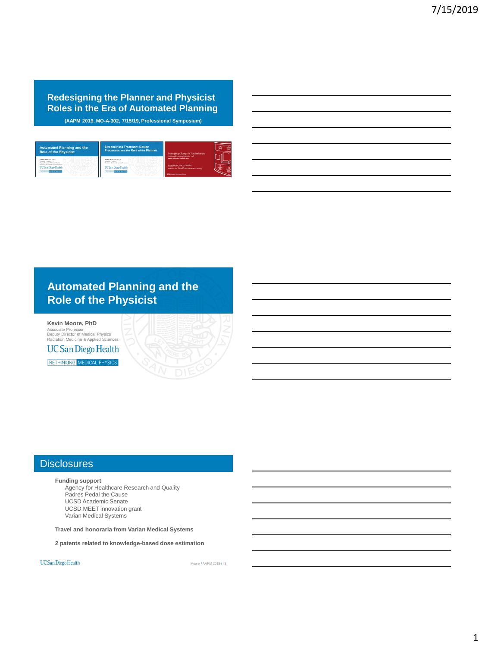**Redesigning the Planner and Physicist Roles in the Era of Automated Planning (AAPM 2019, MO-A-302, 7/15/19, Professional Symposium)** 

| <b>Automated Planning and the</b><br><b>Role of the Physicist</b> | <b>Streamlining Treatment Design</b><br>Processes and the Role of the Planner | Managing Change in Radiotherapy<br>Assumed towards planning and        |  |
|-------------------------------------------------------------------|-------------------------------------------------------------------------------|------------------------------------------------------------------------|--|
| Keyle Moore, PhD.                                                 | <b>U/P Januard Hill</b><br>lation Markinso & Averled Fishers                  | and her advantage and information                                      |  |
| three Machinery & Arnolded Streamers<br><b>UCSan Diego Health</b> | <b>UCSan Diego Health</b>                                                     | Sasa Mutic, PhD, FAAPM<br>Perkssor and VIDB-Chair of Redution Ontstory |  |
| <b>LEDISORS</b> MODERN BRYANS                                     | <b>LED BASED MODAL BRIDGE</b>                                                 | Whichman Houston S Loc.                                                |  |

## **Automated Planning and the Role of the Physicist**

**Kevin Moore, PhD** Associate Professor Deputy Director of Medical Physics Radiation Medicine & Applied Sciences **UC San Diego Health** 

RETHINKING MEDICAL PHYSICS

### **Disclosures**

**Funding support** Agency for Healthcare Research and Quality Padres Pedal the Cause UCSD Academic Senate UCSD MEET innovation grant Varian Medical Systems

**Travel and honoraria from Varian Medical Systems**

**2 patents related to knowledge-based dose estimation**

UC San Diego Health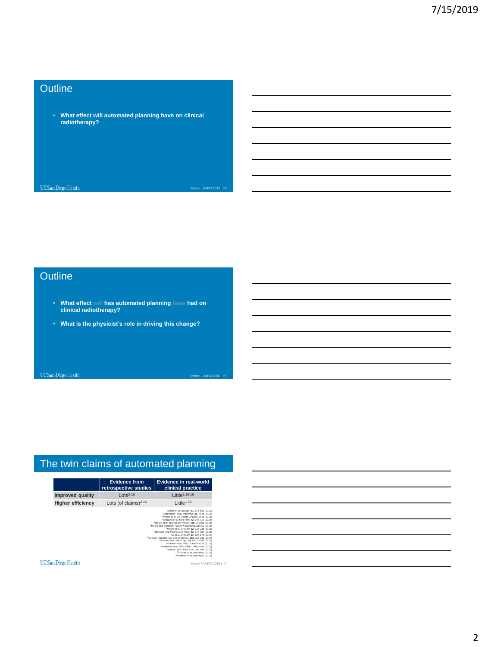## **Outline**

• **What effect will automated planning have on clinical radiotherapy?**

UC San Diego Health

Moore / AAPM 2019 / #4

## **Outline**

- **What effect will has automated planning have had on clinical radiotherapy?**
- **What is the physicist's role in driving this change?**

UC San Diego Health

Moore / AAPM 20

## The twin claims of automated planning

|                          | <b>Evidence from</b><br>retrospective studies | Evidence in real-world<br>clinical practice                                                                                                                                                                                                                                                                                                                                                                                                                                                                |
|--------------------------|-----------------------------------------------|------------------------------------------------------------------------------------------------------------------------------------------------------------------------------------------------------------------------------------------------------------------------------------------------------------------------------------------------------------------------------------------------------------------------------------------------------------------------------------------------------------|
| <b>Improved quality</b>  | $Lots^{2-16}$                                 | Little <sup>1,15-16</sup>                                                                                                                                                                                                                                                                                                                                                                                                                                                                                  |
| <b>Higher efficiency</b> | Lots (of claims) $2-16$                       | $L$ ittle <sup>1,16</sup>                                                                                                                                                                                                                                                                                                                                                                                                                                                                                  |
|                          |                                               | <sup>2</sup> Appenzoller et al. Med Phys 39, 7446 (2012)<br><sup>3</sup> Moore <i>et al.</i> US Patent 20120310615 (2014)<br><sup>4</sup> Shiraishi et al. Med Phys 42, 908-917 (2014).<br><sup>5</sup> Moore <i>et al.</i> Journal of Physics, 489, 012055 (2014)<br><sup>4</sup> Moore and Shiraishi, Patent WO2016081916A1 (2014)<br>7Moore et al. IJROBP. 92, 228-235 (2015).<br><sup>8</sup> Shiraishi and Moore, Med Phys. 43, 378-387 (2016).<br><sup>9</sup> Li et al. IJROBP. 97, 164-172 (2017). |

UC San Diego Health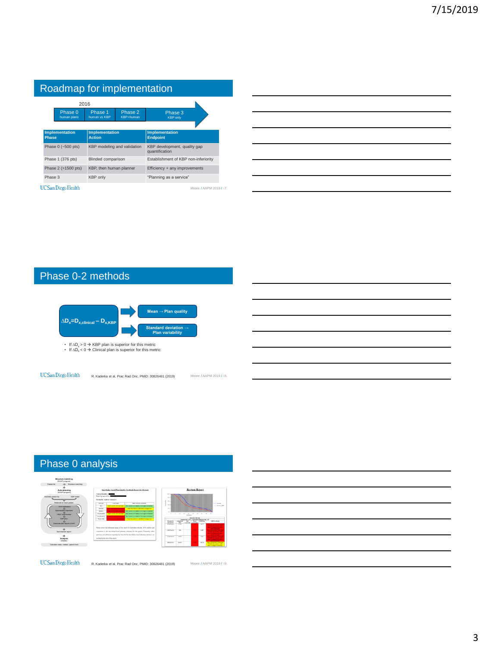| Roadmap for implementation |              |                            |                                        |                      |                                                |                        |  |  |
|----------------------------|--------------|----------------------------|----------------------------------------|----------------------|------------------------------------------------|------------------------|--|--|
|                            | 2016         |                            |                                        |                      |                                                |                        |  |  |
|                            |              | Phase 0<br>human plans     | Phase 1<br>human vs KBP                | Phase 2<br>KBP+human | Phase 3<br><b>KBP</b> only                     |                        |  |  |
|                            |              |                            |                                        |                      |                                                |                        |  |  |
|                            | <b>Phase</b> | Implementation             | <b>Implementation</b><br><b>Action</b> |                      | <b>Implementation</b><br><b>Endpoint</b>       |                        |  |  |
|                            |              | Phase 0 (~500 pts)         | KBP modeling and validation            |                      | KBP development, quality gap<br>quantification |                        |  |  |
|                            |              | Phase 1 (376 pts)          | Blinded comparison                     |                      | Establishment of KBP non-inferiority           |                        |  |  |
|                            |              | Phase 2 (>1500 pts)        | KBP, then human planner                |                      | Efficiency + any improvements                  |                        |  |  |
|                            | Phase 3      |                            | KBP only                               |                      | "Planning as a service"                        |                        |  |  |
|                            |              | <b>UC</b> San Diego Health |                                        |                      |                                                | Moore / AAPM 2019 / #7 |  |  |

| $\sim$ $\sim$ $\sim$ $\sim$ $\sim$ $\sim$ $\sim$ |  |  |
|--------------------------------------------------|--|--|
|                                                  |  |  |
|                                                  |  |  |
|                                                  |  |  |

# Phase 0-2 methods



# Phase 0 analysis



UC San Diego Health

R. Kaderka et al, Prac Rad Onc, PMID: 30826481 (2019)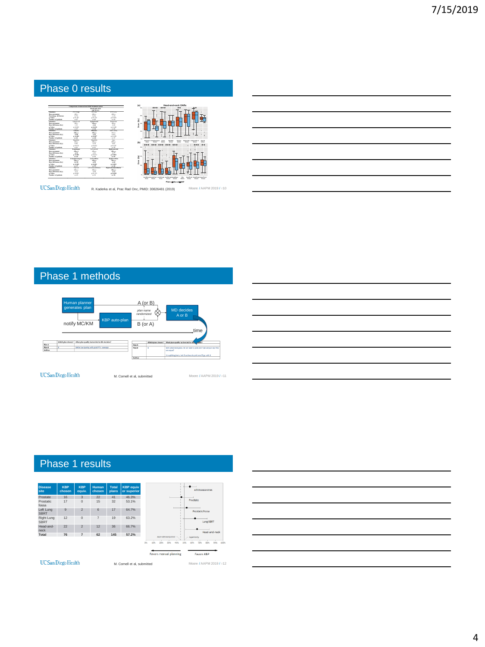## Phase 0 results



**Dmean Mandible Dmean Pharynx Dmean Submandib. L Dmean Submandib. R Dmean Thyroid Dmean Lips Dmean Parotid left Dmean Parotid right Dmean Spinal cord Dmean \* \*\*\* \*\*\* \*\*\* \*\*\* \*\*\* \*\*\* \***

Moore / AAPM 2019 / #10

 $UC$ San Diego Health

R. Kaderka et al, Prac Rad Onc, PMID: 30826481 (2019)

## Phase 1 methods



## Phase 1 results



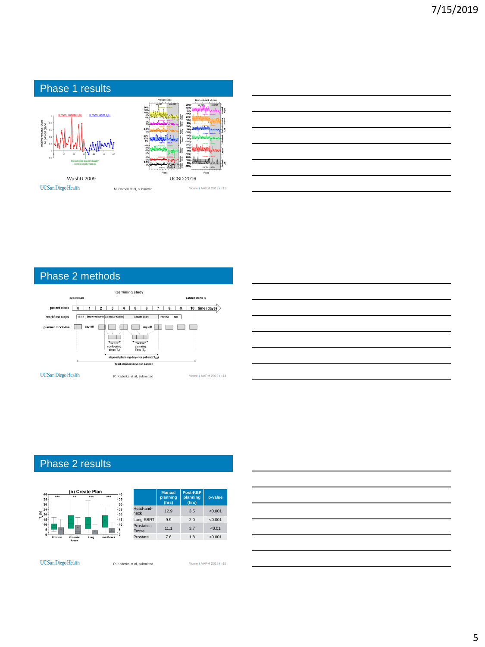

| <u> 1989 - Andrea Stadt Britain, amerikansk politik (* 1958)</u> |  |  |
|------------------------------------------------------------------|--|--|
|                                                                  |  |  |
|                                                                  |  |  |
| <u> 1980 - Johann Barn, amerikansk politiker (d. 1980)</u>       |  |  |
|                                                                  |  |  |
|                                                                  |  |  |

 $\overline{\phantom{0}}$ 

## Phase 2 methods



## Phase 2 results



UC San Diego Health

R. Kaderka et al, submitted Moore / AAPM 2019 / #15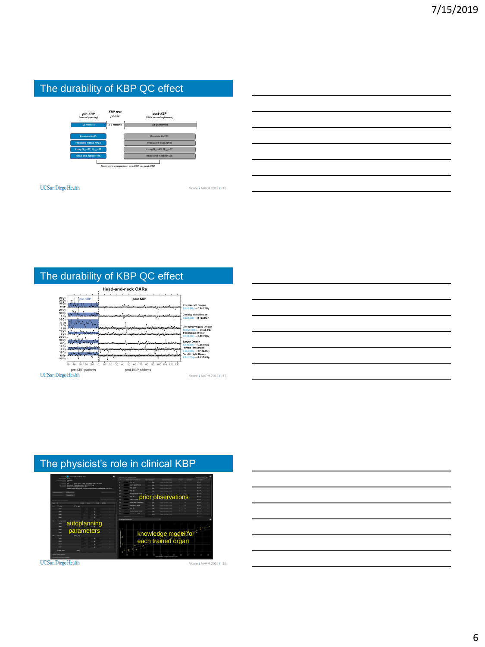## The durability of KBP QC effect



UC San Diego Health

Moore / AAPM 2019 / #16

## The durability of KBP QC effect

|                                        | <b>Head-and-neck OARs</b>                     |                                                                                                         |
|----------------------------------------|-----------------------------------------------|---------------------------------------------------------------------------------------------------------|
| 30 Gy<br>pre-KBP<br>20 Gv              | post-KBP                                      |                                                                                                         |
| 10 Gy<br>0 Gy<br>20 Gy                 |                                               | Cochlea left Dmean<br>$6.0{\pm}7.8{\rm Gy} \rightarrow 0.0{\pm}2.2{\rm Gy}$                             |
| 10 Gy<br>0 Gy<br>30 Gv                 |                                               | Cochlea right Dmean<br>$5.2 \pm 6.2$ Gy $\rightarrow$ 0.1±2.0Gy                                         |
| 20 Gy<br>10 Gy<br>$0 G_Y$              |                                               | <b>Cricopharyngeus Dmean</b>                                                                            |
| 10 Gv<br>0 Gy<br>$20 \text{ Gy}$       |                                               | $15.0\pm15.0$ Gy $\rightarrow$ 0.4±3.5Gy<br>Esophagus Dmean<br>$4.2{\pm}4.2$ Gy $\rightarrow$ 0.2±1.9Gy |
| 10 Gy<br>0 Gy                          |                                               | Larynx Dmean<br>$5.8\pm5.9$ Gy $\rightarrow$ 0.3±2.0Gy                                                  |
| 10 Gy<br>0 Gv<br>10 Gy                 |                                               | Parotid left Dmean<br>$3.5 \pm 4.0$ Gy $\rightarrow -0.1 \pm 2.8$ Gy<br>Parotid right Dmean             |
| $0 \, \mathrm{Gy}$<br>$-100$           |                                               | $4.5 \pm 5.7$ Gy $- 0.2 \pm 3.4$ Gy                                                                     |
| 20<br>20<br>50<br>10<br>$\Lambda \cap$ | 20<br>120 130<br>10<br>100<br>2ť<br>90<br>110 |                                                                                                         |
| pre-KBP patients                       | post-KBP patients                             |                                                                                                         |
| )iego Health                           |                                               | Moore / AAPM 2019 / #17                                                                                 |

## The physicist's role in clinical KBP



UC San Diego Health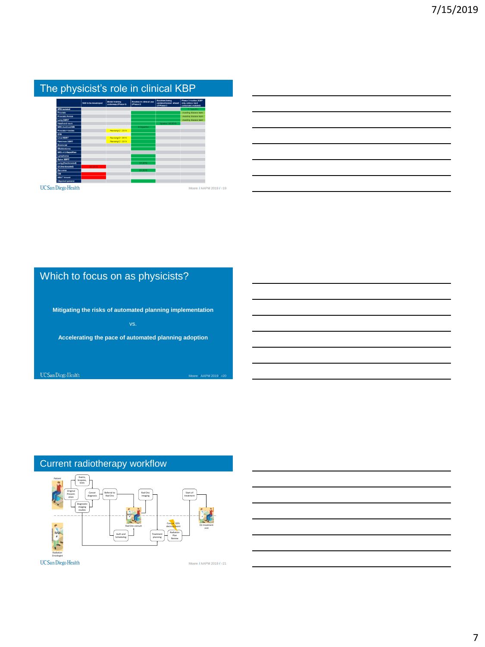|                          |                       |                                             | The physicist's role in clinical KBP        |                                                      |                                                                   |
|--------------------------|-----------------------|---------------------------------------------|---------------------------------------------|------------------------------------------------------|-------------------------------------------------------------------|
|                          | Still to be developed | <b>Model training</b><br>underway (Phase 0) | <b>Routing in clinical use</b><br>(Phase 2) | Routines being<br>undated/tested aboad<br>of Phase 3 | Phase 3 routine (KBP)<br>only unless hard<br>constraint violated) |
| SRS isolated             |                       |                                             |                                             |                                                      | $\rightarrow$ Huneckro                                            |
| Prostate                 |                       |                                             |                                             |                                                      | Awaiting disease team                                             |
| <b>Prostatio Fossa</b>   |                       |                                             |                                             |                                                      | Awaiting disease team                                             |
| Lung SBRT                |                       |                                             |                                             |                                                      | Awaiting disease team                                             |
| <b>Head-and-neck</b>     |                       |                                             |                                             | Unitated Q3 2018                                     |                                                                   |
| <b>SRS involved MM</b>   |                       |                                             | > HyperArc                                  |                                                      |                                                                   |
| Prostate + nodes         |                       | Revising Q1 2019                            |                                             |                                                      |                                                                   |
| <b>GYN</b>               |                       |                                             |                                             |                                                      |                                                                   |
| <b>Liver SBRT</b>        |                       | Revising Q1 2019                            |                                             |                                                      |                                                                   |
| Pancreas SBRT            |                       | Revising 01 2019                            |                                             |                                                      |                                                                   |
| Americial                |                       |                                             |                                             |                                                      |                                                                   |
| Glichlastoma             |                       |                                             |                                             |                                                      |                                                                   |
| SRS v15 RapidPlan        |                       |                                             |                                             |                                                      |                                                                   |
| Lymphoma                 |                       |                                             |                                             |                                                      |                                                                   |
| Soine SBRT               |                       |                                             |                                             |                                                      |                                                                   |
| Lung (fractionated)      |                       |                                             | Q1 2019                                     |                                                      |                                                                   |
| <b>GI (fractionated)</b> | 022019                |                                             |                                             |                                                      |                                                                   |
| Sarcoma                  |                       |                                             | Q1 2019                                     |                                                      |                                                                   |
| CSI                      |                       |                                             |                                             |                                                      |                                                                   |
| <b>VMAT breast</b>       |                       |                                             |                                             |                                                      |                                                                   |
| Olicomet general         |                       |                                             |                                             |                                                      |                                                                   |

## Which to focus on as physicists?

**Mitigating the risks of automated planning implementation Accelerating the pace of automated planning adoption** UC San Diego Health Moore / AAPM 20

## Current radiotherapy workflow



UC San Diego Health

Moore / AAPM 2019 / #21

7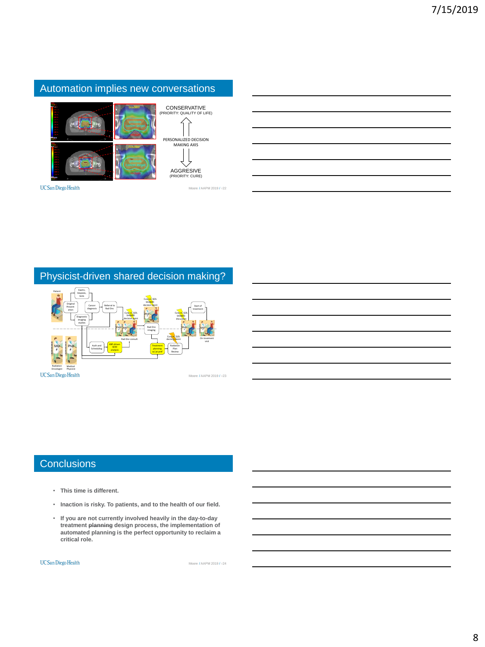## Automation implies new conversations



CONSERVATIVE (PRIORITY: QUALITY OF LIFE) AGGRESIVE (PRIORITY: CURE) PERSONALIZED DECISION MAKING AXIS

Moore / AAPM 2019 / #22

UC San Diego Health

## Physicist-driven shared decision making?



## **Conclusions**

- **This time is different.**
- **Inaction is risky. To patients, and to the health of our field.**
- **If you are not currently involved heavily in the day-to-day treatment planning design process, the implementation of automated planning is the perfect opportunity to reclaim a critical role.**

#### UC San Diego Health